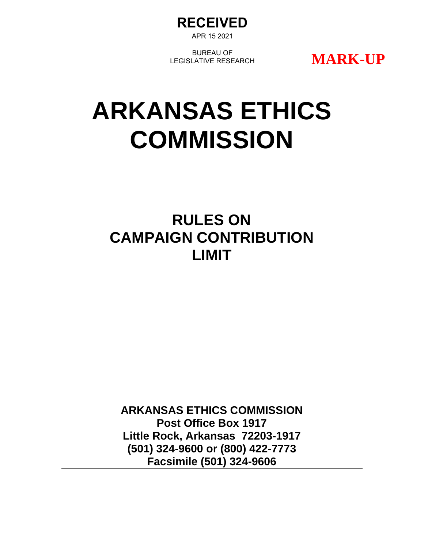

APR 15 2021

BUREAU OF LEGISLATIVE RESEARCH

**MARK-UP**

# **ARKANSAS ETHICS COMMISSION**

## **RULES ON CAMPAIGN CONTRIBUTION LIMIT**

**ARKANSAS ETHICS COMMISSION Post Office Box 1917 Little Rock, Arkansas 72203-1917 (501) 324-9600 or (800) 422-7773 Facsimile (501) 324-9606**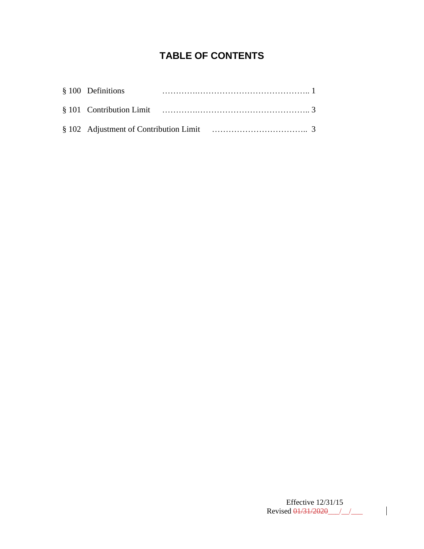### **TABLE OF CONTENTS**

| § 100 Definitions |  |  |
|-------------------|--|--|
|                   |  |  |
|                   |  |  |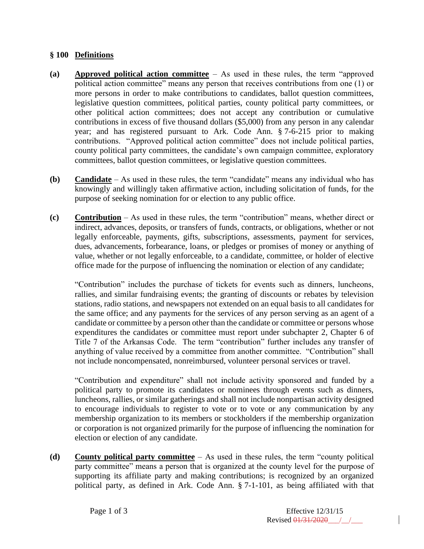#### **§ 100 Definitions**

- **(a) Approved political action committee** As used in these rules, the term "approved political action committee" means any person that receives contributions from one (1) or more persons in order to make contributions to candidates, ballot question committees, legislative question committees, political parties, county political party committees, or other political action committees; does not accept any contribution or cumulative contributions in excess of five thousand dollars (\$5,000) from any person in any calendar year; and has registered pursuant to Ark. Code Ann. § 7-6-215 prior to making contributions. "Approved political action committee" does not include political parties, county political party committees, the candidate's own campaign committee, exploratory committees, ballot question committees, or legislative question committees.
- **(b) Candidate** As used in these rules, the term "candidate" means any individual who has knowingly and willingly taken affirmative action, including solicitation of funds, for the purpose of seeking nomination for or election to any public office.
- **(c) Contribution** As used in these rules, the term "contribution" means, whether direct or indirect, advances, deposits, or transfers of funds, contracts, or obligations, whether or not legally enforceable, payments, gifts, subscriptions, assessments, payment for services, dues, advancements, forbearance, loans, or pledges or promises of money or anything of value, whether or not legally enforceable, to a candidate, committee, or holder of elective office made for the purpose of influencing the nomination or election of any candidate;

"Contribution" includes the purchase of tickets for events such as dinners, luncheons, rallies, and similar fundraising events; the granting of discounts or rebates by television stations, radio stations, and newspapers not extended on an equal basis to all candidates for the same office; and any payments for the services of any person serving as an agent of a candidate or committee by a person other than the candidate or committee or persons whose expenditures the candidates or committee must report under subchapter 2, Chapter 6 of Title 7 of the Arkansas Code. The term "contribution" further includes any transfer of anything of value received by a committee from another committee. "Contribution" shall not include noncompensated, nonreimbursed, volunteer personal services or travel.

"Contribution and expenditure" shall not include activity sponsored and funded by a political party to promote its candidates or nominees through events such as dinners, luncheons, rallies, or similar gatherings and shall not include nonpartisan activity designed to encourage individuals to register to vote or to vote or any communication by any membership organization to its members or stockholders if the membership organization or corporation is not organized primarily for the purpose of influencing the nomination for election or election of any candidate.

**(d) County political party committee** – As used in these rules, the term "county political party committee" means a person that is organized at the county level for the purpose of supporting its affiliate party and making contributions; is recognized by an organized political party, as defined in Ark. Code Ann. § 7-1-101, as being affiliated with that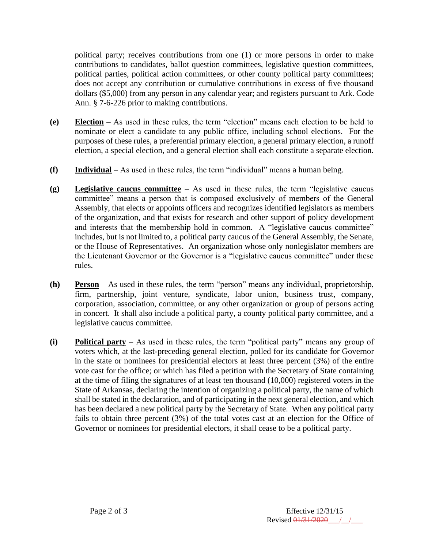political party; receives contributions from one (1) or more persons in order to make contributions to candidates, ballot question committees, legislative question committees, political parties, political action committees, or other county political party committees; does not accept any contribution or cumulative contributions in excess of five thousand dollars (\$5,000) from any person in any calendar year; and registers pursuant to Ark. Code Ann. § 7-6-226 prior to making contributions.

- **(e) Election** As used in these rules, the term "election" means each election to be held to nominate or elect a candidate to any public office, including school elections. For the purposes of these rules, a preferential primary election, a general primary election, a runoff election, a special election, and a general election shall each constitute a separate election.
- **(f) Individual** As used in these rules, the term "individual" means a human being.
- **(g) Legislative caucus committee** As used in these rules, the term "legislative caucus committee" means a person that is composed exclusively of members of the General Assembly, that elects or appoints officers and recognizes identified legislators as members of the organization, and that exists for research and other support of policy development and interests that the membership hold in common. A "legislative caucus committee" includes, but is not limited to, a political party caucus of the General Assembly, the Senate, or the House of Representatives. An organization whose only nonlegislator members are the Lieutenant Governor or the Governor is a "legislative caucus committee" under these rules.
- **(h) Person** As used in these rules, the term "person" means any individual, proprietorship, firm, partnership, joint venture, syndicate, labor union, business trust, company, corporation, association, committee, or any other organization or group of persons acting in concert. It shall also include a political party, a county political party committee, and a legislative caucus committee.
- **(i) Political party** As used in these rules, the term "political party" means any group of voters which, at the last-preceding general election, polled for its candidate for Governor in the state or nominees for presidential electors at least three percent (3%) of the entire vote cast for the office; or which has filed a petition with the Secretary of State containing at the time of filing the signatures of at least ten thousand (10,000) registered voters in the State of Arkansas, declaring the intention of organizing a political party, the name of which shall be stated in the declaration, and of participating in the next general election, and which has been declared a new political party by the Secretary of State. When any political party fails to obtain three percent (3%) of the total votes cast at an election for the Office of Governor or nominees for presidential electors, it shall cease to be a political party.